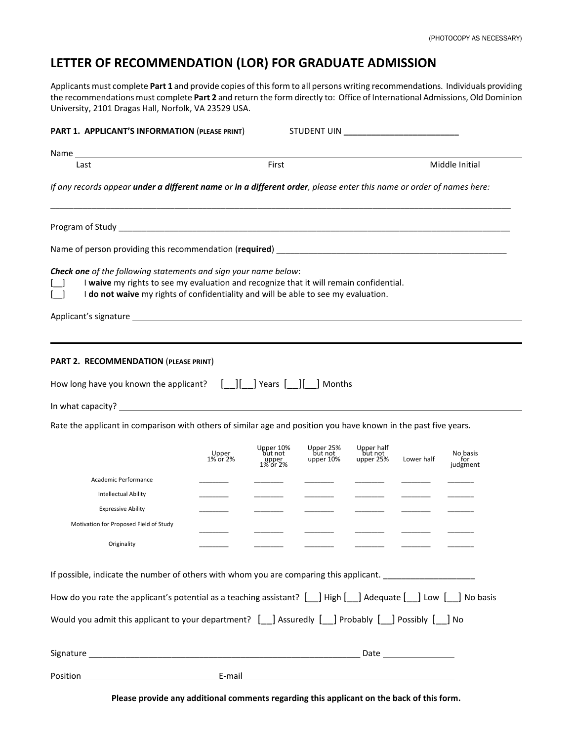## **LETTER OF RECOMMENDATION (LOR) FOR GRADUATE ADMISSION**

Applicants must complete **Part 1** and provide copies of this form to all persons writing recommendations. Individuals providing the recommendations must complete **Part 2** and return the form directly to: Office of International Admissions, Old Dominion University, 2101 Dragas Hall, Norfolk, VA 23529 USA.

| Last                                                                                                                                                                                                                                                                                                                | First             |                               |                                   |                                    | Middle Initial |                 |  |  |
|---------------------------------------------------------------------------------------------------------------------------------------------------------------------------------------------------------------------------------------------------------------------------------------------------------------------|-------------------|-------------------------------|-----------------------------------|------------------------------------|----------------|-----------------|--|--|
| If any records appear under a different name or in a different order, please enter this name or order of names here:                                                                                                                                                                                                |                   |                               |                                   |                                    |                |                 |  |  |
|                                                                                                                                                                                                                                                                                                                     |                   |                               |                                   |                                    |                |                 |  |  |
|                                                                                                                                                                                                                                                                                                                     |                   |                               |                                   |                                    |                |                 |  |  |
| Check one of the following statements and sign your name below:<br>I waive my rights to see my evaluation and recognize that it will remain confidential.<br>I do not waive my rights of confidentiality and will be able to see my evaluation.                                                                     |                   |                               |                                   |                                    |                |                 |  |  |
| Applicant's signature example and the set of the set of the set of the set of the set of the set of the set of                                                                                                                                                                                                      |                   |                               |                                   |                                    |                |                 |  |  |
| How long have you known the applicant? $\begin{bmatrix} \  \  \  \end{bmatrix}$   Years $\begin{bmatrix} \  \  \  \end{bmatrix}$   Months<br>Rate the applicant in comparison with others of similar age and position you have known in the past five years.                                                        |                   |                               |                                   |                                    |                |                 |  |  |
|                                                                                                                                                                                                                                                                                                                     | Upper<br>1% or 2% | Upper 10%<br>but not<br>upper | Upper 25%<br>but not<br>upper 10% | Upper half<br>but not<br>upper 25% | Lower half     | No basis        |  |  |
| Academic Performance                                                                                                                                                                                                                                                                                                |                   | 1% or 2%                      |                                   |                                    |                | for<br>judgment |  |  |
| <b>Intellectual Ability</b>                                                                                                                                                                                                                                                                                         |                   |                               |                                   |                                    |                |                 |  |  |
| <b>Expressive Ability</b>                                                                                                                                                                                                                                                                                           |                   |                               |                                   |                                    |                |                 |  |  |
| Motivation for Proposed Field of Study                                                                                                                                                                                                                                                                              |                   |                               |                                   |                                    |                |                 |  |  |
| Originality                                                                                                                                                                                                                                                                                                         |                   |                               |                                   |                                    |                |                 |  |  |
|                                                                                                                                                                                                                                                                                                                     |                   |                               |                                   |                                    |                |                 |  |  |
|                                                                                                                                                                                                                                                                                                                     |                   |                               |                                   |                                    |                |                 |  |  |
|                                                                                                                                                                                                                                                                                                                     |                   |                               |                                   |                                    |                |                 |  |  |
| If possible, indicate the number of others with whom you are comparing this applicant.<br>How do you rate the applicant's potential as a teaching assistant? [14] High [144] Adequate [144] Low [144] No basis<br>Would you admit this applicant to your department? [_] Assuredly [_] Probably [_] Possibly [_] No |                   |                               |                                   |                                    |                |                 |  |  |

**Please provide any additional comments regarding this applicant on the back of this form.**